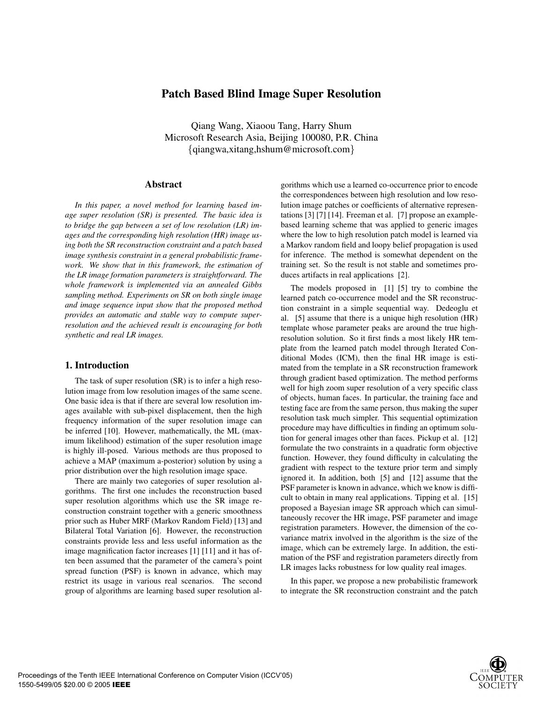# **Patch Based Blind Image Super Resolution**

Qiang Wang, Xiaoou Tang, Harry Shum Microsoft Research Asia, Beijing 100080, P.R. China {qiangwa,xitang,hshum@microsoft.com}

# **Abstract**

*In this paper, a novel method for learning based image super resolution (SR) is presented. The basic idea is to bridge the gap between a set of low resolution (LR) images and the corresponding high resolution (HR) image using both the SR reconstruction constraint and a patch based image synthesis constraint in a general probabilistic framework. We show that in this framework, the estimation of the LR image formation parameters is straightforward. The whole framework is implemented via an annealed Gibbs sampling method. Experiments on SR on both single image and image sequence input show that the proposed method provides an automatic and stable way to compute superresolution and the achieved result is encouraging for both synthetic and real LR images.*

# **1. Introduction**

The task of super resolution (SR) is to infer a high resolution image from low resolution images of the same scene. One basic idea is that if there are several low resolution images available with sub-pixel displacement, then the high frequency information of the super resolution image can be inferred [10]. However, mathematically, the ML (maximum likelihood) estimation of the super resolution image is highly ill-posed. Various methods are thus proposed to achieve a MAP (maximum a-posterior) solution by using a prior distribution over the high resolution image space.

There are mainly two categories of super resolution algorithms. The first one includes the reconstruction based super resolution algorithms which use the SR image reconstruction constraint together with a generic smoothness prior such as Huber MRF (Markov Random Field) [13] and Bilateral Total Variation [6]. However, the reconstruction constraints provide less and less useful information as the image magnification factor increases [1] [11] and it has often been assumed that the parameter of the camera's point spread function (PSF) is known in advance, which may restrict its usage in various real scenarios. The second group of algorithms are learning based super resolution algorithms which use a learned co-occurrence prior to encode the correspondences between high resolution and low resolution image patches or coefficients of alternative representations [3] [7] [14]. Freeman et al. [7] propose an examplebased learning scheme that was applied to generic images where the low to high resolution patch model is learned via a Markov random field and loopy belief propagation is used for inference. The method is somewhat dependent on the training set. So the result is not stable and sometimes produces artifacts in real applications [2].

The models proposed in [1] [5] try to combine the learned patch co-occurrence model and the SR reconstruction constraint in a simple sequential way. Dedeoglu et al. [5] assume that there is a unique high resolution (HR) template whose parameter peaks are around the true highresolution solution. So it first finds a most likely HR template from the learned patch model through Iterated Conditional Modes (ICM), then the final HR image is estimated from the template in a SR reconstruction framework through gradient based optimization. The method performs well for high zoom super resolution of a very specific class of objects, human faces. In particular, the training face and testing face are from the same person, thus making the super resolution task much simpler. This sequential optimization procedure may have difficulties in finding an optimum solution for general images other than faces. Pickup et al. [12] formulate the two constraints in a quadratic form objective function. However, they found difficulty in calculating the gradient with respect to the texture prior term and simply ignored it. In addition, both [5] and [12] assume that the PSF parameter is known in advance, which we know is difficult to obtain in many real applications. Tipping et al. [15] proposed a Bayesian image SR approach which can simultaneously recover the HR image, PSF parameter and image registration parameters. However, the dimension of the covariance matrix involved in the algorithm is the size of the image, which can be extremely large. In addition, the estimation of the PSF and registration parameters directly from LR images lacks robustness for low quality real images.

In this paper, we propose a new probabilistic framework to integrate the SR reconstruction constraint and the patch

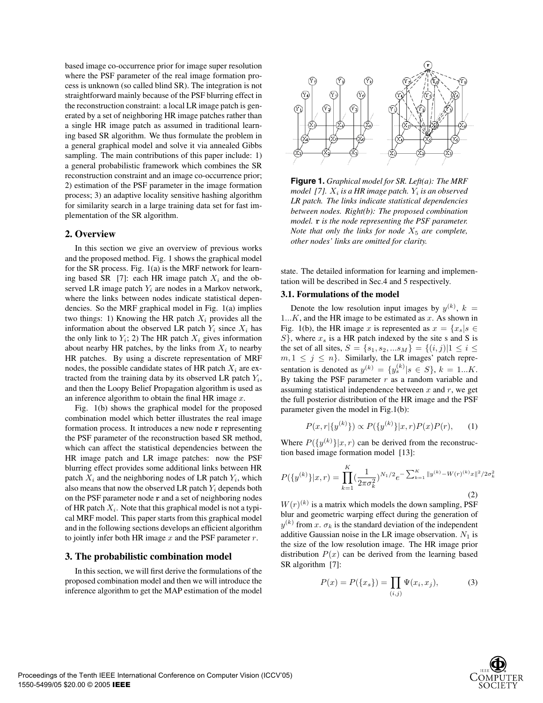based image co-occurrence prior for image super resolution where the PSF parameter of the real image formation process is unknown (so called blind SR). The integration is not straightforward mainly because of the PSF blurring effect in the reconstruction constraint: a local LR image patch is generated by a set of neighboring HR image patches rather than a single HR image patch as assumed in traditional learning based SR algorithm. We thus formulate the problem in a general graphical model and solve it via annealed Gibbs sampling. The main contributions of this paper include: 1) a general probabilistic framework which combines the SR reconstruction constraint and an image co-occurrence prior; 2) estimation of the PSF parameter in the image formation process; 3) an adaptive locality sensitive hashing algorithm for similarity search in a large training data set for fast implementation of the SR algorithm.

# **2. Overview**

In this section we give an overview of previous works and the proposed method. Fig. 1 shows the graphical model for the SR process. Fig. 1(a) is the MRF network for learning based SR [7]: each HR image patch  $X_i$  and the observed LR image patch  $Y_i$  are nodes in a Markov network, where the links between nodes indicate statistical dependencies. So the MRF graphical model in Fig. 1(a) implies two things: 1) Knowing the HR patch  $X_i$  provides all the information about the observed LR patch  $Y_i$  since  $X_i$  has the only link to  $Y_i$ ; 2) The HR patch  $X_i$  gives information about nearby HR patches, by the links from  $X_i$  to nearby HR patches. By using a discrete representation of MRF nodes, the possible candidate states of HR patch  $X_i$  are extracted from the training data by its observed LR patch  $Y_i$ , and then the Loopy Belief Propagation algorithm is used as an inference algorithm to obtain the final HR image  $x$ .

Fig. 1(b) shows the graphical model for the proposed combination model which better illustrates the real image formation process. It introduces a new node **r** representing the PSF parameter of the reconstruction based SR method, which can affect the statistical dependencies between the HR image patch and LR image patches: now the PSF blurring effect provides some additional links between HR patch  $X_i$  and the neighboring nodes of LR patch  $Y_i$ , which also means that now the observed LR patch  $Y_i$  depends both on the PSF parameter node **r** and a set of neighboring nodes of HR patch  $X_i$ . Note that this graphical model is not a typical MRF model. This paper starts from this graphical model and in the following sections develops an efficient algorithm to jointly infer both HR image  $x$  and the PSF parameter  $r$ .

### **3. The probabilistic combination model**

In this section, we will first derive the formulations of the proposed combination model and then we will introduce the inference algorithm to get the MAP estimation of the model



**Figure 1.** *Graphical model for SR. Left(a): The MRF model* [7].  $X_i$  *is a HR image patch.*  $Y_i$  *is an observed LR patch. The links indicate statistical dependencies between nodes. Right(b): The proposed combination model.* **r** *is the node representing the PSF parameter. Note that only the links for node*  $X_5$  *are complete, other nodes' links are omitted for clarity.*

state. The detailed information for learning and implementation will be described in Sec.4 and 5 respectively.

### **3.1. Formulations of the model**

Denote the low resolution input images by  $y^{(k)}$ ,  $k =$  $1...K$ , and the HR image to be estimated as x. As shown in Fig. 1(b), the HR image x is represented as  $x = \{x_s | s \in$  $S$ , where  $x_s$  is a HR patch indexed by the site s and S is the set of all sites,  $S = \{s_1, s_2, ... s_M\} = \{(i, j)|1 \le i \le n\}$  $m, 1 \leq j \leq n$ . Similarly, the LR images' patch representation is denoted as  $y^{(k)} = \{y_s^{(k)} | s \in S\}, k = 1...K$ . By taking the PSF parameter  $r$  as a random variable and assuming statistical independence between  $x$  and  $r$ , we get the full posterior distribution of the HR image and the PSF parameter given the model in Fig.1(b):

$$
P(x,r|\{y^{(k)}\}) \propto P(\{y^{(k)}\}|x,r)P(x)P(r),\qquad(1)
$$

Where  $P({y^{(k)}}|x, r)$  can be derived from the reconstruction based image formation model [13]:

$$
P(\{y^{(k)}\}|x,r) = \prod_{k=1}^{K} \left(\frac{1}{2\pi\sigma_k^2}\right)^{N_1/2} e^{-\sum_{k=1}^{K} \|y^{(k)} - W(r)^{(k)}x\|^2/2\sigma_k^2}
$$
\n(2)

 $W(r)^{(k)}$  is a matrix which models the down sampling, PSF blur and geometric warping effect during the generation of  $y^{(k)}$  from x.  $\sigma_k$  is the standard deviation of the independent additive Gaussian noise in the LR image observation.  $N_1$  is the size of the low resolution image. The HR image prior distribution  $P(x)$  can be derived from the learning based SR algorithm [7]:

$$
P(x) = P(\{x_s\}) = \prod_{(i,j)} \Psi(x_i, x_j),
$$
 (3)

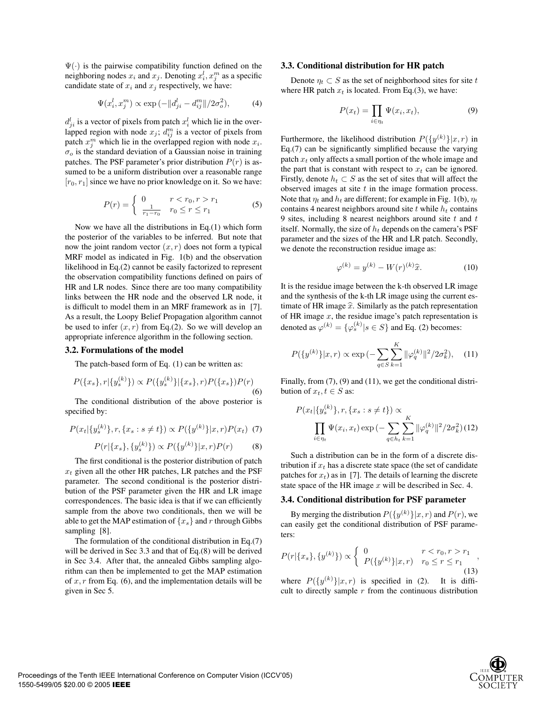$\Psi(\cdot)$  is the pairwise compatibility function defined on the neighboring nodes  $x_i$  and  $x_j$ . Denoting  $x_i^l, x_i^m$  as a specific candidate state of  $x_i$  and  $x_j$  respectively, we have:

$$
\Psi(x_i^l, x_j^m) \propto \exp(-||d_{ji}^l - d_{ij}^m||/2\sigma_o^2),
$$
\n(4)

 $d_{ii}^l$  is a vector of pixels from patch  $x_i^l$  which lie in the overlapped region with node  $x_j$ ;  $d_{ij}^m$  is a vector of pixels from patch  $x_i^m$  which lie in the overlapped region with node  $x_i$ .  $\sigma$ <sub>o</sub> is the standard deviation of a Gaussian noise in training patches. The PSF parameter's prior distribution  $P(r)$  is assumed to be a uniform distribution over a reasonable range  $[r_0, r_1]$  since we have no prior knowledge on it. So we have:

$$
P(r) = \begin{cases} 0 & r < r_0, r > r_1 \\ \frac{1}{r_1 - r_0} & r_0 \le r \le r_1 \end{cases}
$$
 (5)

Now we have all the distributions in Eq.(1) which form the posterior of the variables to be inferred. But note that now the joint random vector  $(x, r)$  does not form a typical MRF model as indicated in Fig. 1(b) and the observation likelihood in Eq.(2) cannot be easily factorized to represent the observation compatibility functions defined on pairs of HR and LR nodes. Since there are too many compatibility links between the HR node and the observed LR node, it is difficult to model them in an MRF framework as in [7]. As a result, the Loopy Belief Propagation algorithm cannot be used to infer  $(x, r)$  from Eq.(2). So we will develop an appropriate inference algorithm in the following section.

# **3.2. Formulations of the model**

The patch-based form of Eq. (1) can be written as:

$$
P({x_s}, r | {y_s^{(k)}}) \propto P({y_s^{(k)}}|{x_s}, r)P({x_s})P(r)
$$
\n(6)

The conditional distribution of the above posterior is specified by:

$$
P(x_t | \{y_s^{(k)}\}, r, \{x_s : s \neq t\}) \propto P(\{y^{(k)}\} | x, r) P(x_t) \tag{7}
$$

$$
P(r|\{x_s\}, \{y_s^{(k)}\}) \propto P(\{y^{(k)}\}|x, r)P(r) \tag{8}
$$

The first conditional is the posterior distribution of patch  $x_t$  given all the other HR patches, LR patches and the PSF parameter. The second conditional is the posterior distribution of the PSF parameter given the HR and LR image correspondences. The basic idea is that if we can efficiently sample from the above two conditionals, then we will be able to get the MAP estimation of  $\{x_s\}$  and r through Gibbs sampling [8].

The formulation of the conditional distribution in Eq.(7) will be derived in Sec 3.3 and that of Eq.(8) will be derived in Sec 3.4. After that, the annealed Gibbs sampling algorithm can then be implemented to get the MAP estimation of  $x, r$  from Eq. (6), and the implementation details will be given in Sec 5.

### **3.3. Conditional distribution for HR patch**

Denote  $\eta_t \subset S$  as the set of neighborhood sites for site t where HR patch  $x_t$  is located. From Eq.(3), we have:

$$
P(x_t) = \prod_{i \in \eta_t} \Psi(x_i, x_t), \tag{9}
$$

Furthermore, the likelihood distribution  $P({y^{(k)}}|x,r)$  in Eq.(7) can be significantly simplified because the varying patch  $x_t$  only affects a small portion of the whole image and the part that is constant with respect to  $x_t$  can be ignored. Firstly, denote  $h_t \subset S$  as the set of sites that will affect the observed images at site  $t$  in the image formation process. Note that  $\eta_t$  and  $h_t$  are different; for example in Fig. 1(b),  $\eta_t$ contains 4 nearest neighbors around site  $t$  while  $h_t$  contains 9 sites, including 8 nearest neighbors around site  $t$  and  $t$ itself. Normally, the size of  $h_t$  depends on the camera's PSF parameter and the sizes of the HR and LR patch. Secondly, we denote the reconstruction residue image as:

$$
\varphi^{(k)} = y^{(k)} - W(r)^{(k)}\hat{x}.\tag{10}
$$

It is the residue image between the k-th observed LR image and the synthesis of the k-th LR image using the current estimate of HR image  $\hat{x}$ . Similarly as the patch representation of HR image  $x$ , the residue image's patch representation is denoted as  $\varphi^{(k)} = {\varphi_s^{(k)} | s \in S}$  and Eq. (2) becomes:

$$
P({y^{(k)}}|x,r) \propto \exp\left(-\sum_{q \in S} \sum_{k=1}^{K} \|\varphi_q^{(k)}\|^2 / 2\sigma_k^2\right), \quad (11)
$$

Finally, from  $(7)$ ,  $(9)$  and  $(11)$ , we get the conditional distribution of  $x_t, t \in S$  as:

$$
P(x_t | \{y_s^{(k)}\}, r, \{x_s : s \neq t\}) \propto \prod_{i \in \eta_t} \Psi(x_i, x_t) \exp\left(-\sum_{q \in h_t} \sum_{k=1}^K \|\varphi_q^{(k)}\|^2 / 2\sigma_k^2\right)
$$
(12)

Such a distribution can be in the form of a discrete distribution if  $x_t$  has a discrete state space (the set of candidate patches for  $x_t$ ) as in [7]. The details of learning the discrete state space of the HR image  $x$  will be described in Sec. 4.

## **3.4. Conditional distribution for PSF parameter**

By merging the distribution  $P({y^{(k)}}|x, r)$  and  $P(r)$ , we can easily get the conditional distribution of PSF parameters:

$$
P(r|\{x_s\}, \{y^{(k)}\}) \propto \begin{cases} 0 & r < r_0, r > r_1 \\ P(\{y^{(k)}\}|x, r) & r_0 \le r \le r_1 \\ \end{cases}
$$
\n(13)

where  $P({y^{(k)}}|x,r)$  is specified in (2). It is difficult to directly sample  $r$  from the continuous distribution

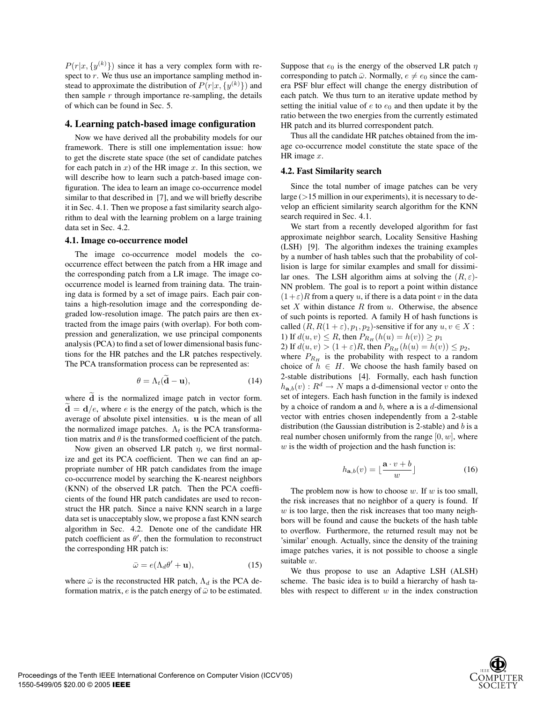$P(r|x, \{y^{(k)}\})$  since it has a very complex form with respect to  $r$ . We thus use an importance sampling method instead to approximate the distribution of  $P(r|x, \{y^{(k)}\})$  and then sample  $r$  through importance re-sampling, the details of which can be found in Sec. 5.

### **4. Learning patch-based image configuration**

Now we have derived all the probability models for our framework. There is still one implementation issue: how to get the discrete state space (the set of candidate patches for each patch in  $x$ ) of the HR image  $x$ . In this section, we will describe how to learn such a patch-based image configuration. The idea to learn an image co-occurrence model similar to that described in [7], and we will briefly describe it in Sec. 4.1. Then we propose a fast similarity search algorithm to deal with the learning problem on a large training data set in Sec. 4.2.

#### **4.1. Image co-occurrence model**

The image co-occurrence model models the cooccurrence effect between the patch from a HR image and the corresponding patch from a LR image. The image cooccurrence model is learned from training data. The training data is formed by a set of image pairs. Each pair contains a high-resolution image and the corresponding degraded low-resolution image. The patch pairs are then extracted from the image pairs (with overlap). For both compression and generalization, we use principal components analysis (PCA) to find a set of lower dimensional basis functions for the HR patches and the LR patches respectively. The PCA transformation process can be represented as:

$$
\theta = \Lambda_t(\widetilde{\mathbf{d}} - \mathbf{u}),\tag{14}
$$

where  $\tilde{d}$  is the normalized image patch in vector form.  $\mathbf{d} = \mathbf{d}/e$ , where e is the energy of the patch, which is the average of absolute pixel intensities. **u** is the mean of all the normalized image patches.  $\Lambda_t$  is the PCA transformation matrix and  $\theta$  is the transformed coefficient of the patch.

Now given an observed LR patch  $\eta$ , we first normalize and get its PCA coefficient. Then we can find an appropriate number of HR patch candidates from the image co-occurrence model by searching the K-nearest neighbors (KNN) of the observed LR patch. Then the PCA coefficients of the found HR patch candidates are used to reconstruct the HR patch. Since a naive KNN search in a large data set is unacceptably slow, we propose a fast KNN search algorithm in Sec. 4.2. Denote one of the candidate HR patch coefficient as  $\theta'$ , then the formulation to reconstruct the corresponding HR patch is:

$$
\bar{\omega} = e(\Lambda_d \theta' + \mathbf{u}),\tag{15}
$$

where  $\bar{\omega}$  is the reconstructed HR patch,  $\Lambda_d$  is the PCA deformation matrix,  $e$  is the patch energy of  $\bar{\omega}$  to be estimated.

Suppose that  $e_0$  is the energy of the observed LR patch  $\eta$ corresponding to patch  $\bar{\omega}$ . Normally,  $e \neq e_0$  since the camera PSF blur effect will change the energy distribution of each patch. We thus turn to an iterative update method by setting the initial value of  $e$  to  $e_0$  and then update it by the ratio between the two energies from the currently estimated HR patch and its blurred correspondent patch.

Thus all the candidate HR patches obtained from the image co-occurrence model constitute the state space of the HR image x.

# **4.2. Fast Similarity search**

Since the total number of image patches can be very large  $(>15$  million in our experiments), it is necessary to develop an efficient similarity search algorithm for the KNN search required in Sec. 4.1.

We start from a recently developed algorithm for fast approximate neighbor search, Locality Sensitive Hashing (LSH) [9]. The algorithm indexes the training examples by a number of hash tables such that the probability of collision is large for similar examples and small for dissimilar ones. The LSH algorithm aims at solving the  $(R, \varepsilon)$ -NN problem. The goal is to report a point within distance  $(1+\varepsilon)R$  from a query u, if there is a data point v in the data set  $X$  within distance  $R$  from  $u$ . Otherwise, the absence of such points is reported. A family H of hash functions is called  $(R, R(1 + \varepsilon), p_1, p_2)$ -sensitive if for any  $u, v \in X$ : 1) If  $d(u, v) \le R$ , then  $P_{R_H}(h(u) = h(v)) \ge p_1$ 

2) If  $d(u, v) > (1 + \varepsilon)R$ , then  $P_{R_H}(h(u) = h(v)) \leq p_2$ , where  $P_{R_H}$  is the probability with respect to a random choice of  $h \in H$ . We choose the hash family based on 2-stable distributions [4]. Formally, each hash function  $h_{\mathbf{a},b}(v) : R^d \to N$  maps a d-dimensional vector v onto the set of integers. Each hash function in the family is indexed by a choice of random **a** and b, where **a** is a d-dimensional vector with entries chosen independently from a 2-stable distribution (the Gaussian distribution is 2-stable) and b is a real number chosen uniformly from the range  $[0, w]$ , where  $w$  is the width of projection and the hash function is:

$$
h_{\mathbf{a},b}(v) = \lfloor \frac{\mathbf{a} \cdot v + b}{w} \rfloor \tag{16}
$$

The problem now is how to choose  $w$ . If  $w$  is too small, the risk increases that no neighbor of a query is found. If  $w$  is too large, then the risk increases that too many neighbors will be found and cause the buckets of the hash table to overflow. Furthermore, the returned result may not be 'similar' enough. Actually, since the density of the training image patches varies, it is not possible to choose a single suitable w.

We thus propose to use an Adaptive LSH (ALSH) scheme. The basic idea is to build a hierarchy of hash tables with respect to different  $w$  in the index construction

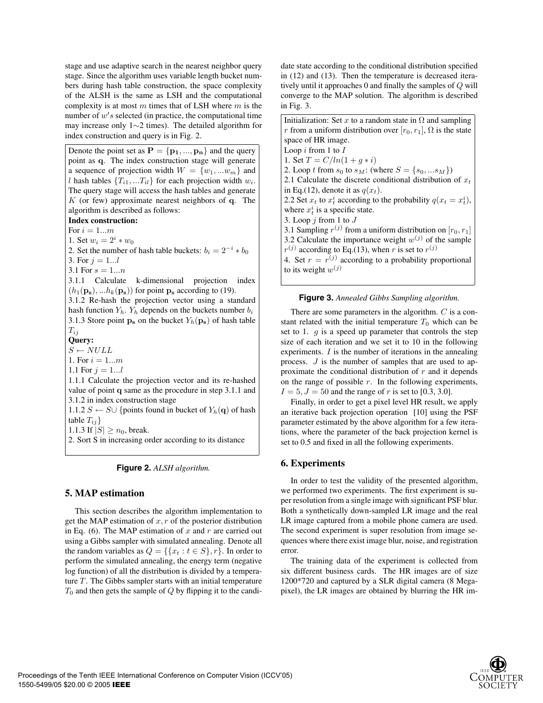stage and use adaptive search in the nearest neighbor query stage. Since the algorithm uses variable length bucket numbers during hash table construction, the space complexity of the ALSH is the same as LSH and the computational complexity is at most  $m$  times that of LSH where  $m$  is the number of  $w's$  selected (in practice, the computational time may increase only 1∼2 times). The detailed algorithm for index construction and query is in Fig. 2.

Denote the point set as  $P = \{p_1, ..., p_n\}$  and the query point as **q**. The index construction stage will generate a sequence of projection width  $W = \{w_1, ... w_m\}$  and l hash tables  $\{T_{i1},...T_{il}\}$  for each projection width  $w_i$ . The query stage will access the hash tables and generate K (or few) approximate nearest neighbors of **q**. The algorithm is described as follows: **Index construction:** For  $i = 1...m$ 1. Set  $w_i = 2^i * w_0$ 2. Set the number of hash table buckets:  $b_i = 2^{-i} * b_0$ 3. For  $i = 1...l$ 3.1 For  $s = 1...n$ 3.1.1 Calculate k-dimensional projection index  $(h_1(\mathbf{p}_s), ... h_k(\mathbf{p}_s))$  for point  $\mathbf{p}_s$  according to (19). 3.1.2 Re-hash the projection vector using a standard hash function  $Y_h$ .  $Y_h$  depends on the buckets number  $b_i$ 3.1.3 Store point  $\mathbf{p}_s$  on the bucket  $Y_h(\mathbf{p}_s)$  of hash table  $T_{ij}$ **Query:**  $S \leftarrow NULL$ 1. For  $i = 1...m$ 1.1 For  $j = 1...l$ 1.1.1 Calculate the projection vector and its re-hashed value of point **q** same as the procedure in step 3.1.1 and 3.1.2 in index construction stage 1.1.2 *S* ← *S* $\cup$  {points found in bucket of  $Y_h(\mathbf{q})$  of hash table  $T_{ij}$ } 1.1.3 If  $|S| \ge n_0$ , break. 2. Sort S in increasing order according to its distance

**Figure 2.** *ALSH algorithm.*

# **5. MAP estimation**

This section describes the algorithm implementation to get the MAP estimation of  $x, r$  of the posterior distribution in Eq. (6). The MAP estimation of  $x$  and  $r$  are carried out using a Gibbs sampler with simulated annealing. Denote all the random variables as  $Q = \{ \{x_t : t \in S\}, r\}.$  In order to perform the simulated annealing, the energy term (negative log function) of all the distribution is divided by a temperature  $T$ . The Gibbs sampler starts with an initial temperature  $T_0$  and then gets the sample of  $Q$  by flipping it to the candidate state according to the conditional distribution specified in (12) and (13). Then the temperature is decreased iteratively until it approaches 0 and finally the samples of Q will converge to the MAP solution. The algorithm is described in Fig. 3.

Initialization: Set x to a random state in  $\Omega$  and sampling r from a uniform distribution over  $[r_0, r_1]$ ,  $\Omega$  is the state space of HR image. Loop  $i$  from 1 to  $I$ 1. Set  $T = C/ln(1 + g * i)$ 2. Loop t from  $s_0$  to  $s_M$ : (where  $S = \{s_0, ... s_M\}$ ) 2.1 Calculate the discrete conditional distribution of  $x_t$ in Eq.(12), denote it as  $q(x_t)$ . 2.2 Set  $x_t$  to  $x_t^i$  according to the probability  $q(x_t = x_t^i)$ , where  $x_t^i$  is a specific state. 3. Loop  $j$  from 1 to  $J$ 3.1 Sampling  $r^{(j)}$  from a uniform distribution on  $[r_0, r_1]$ 3.2 Calculate the importance weight  $w^{(j)}$  of the sample  $r^{(j)}$  according to Eq.(13), when r is set to  $r^{(j)}$ 4. Set  $r = r^{(j)}$  according to a probability proportional to its weight  $w^{(j)}$ 

### **Figure 3.** *Annealed Gibbs Sampling algorithm.*

There are some parameters in the algorithm. C is a constant related with the initial temperature  $T_0$  which can be set to 1.  $g$  is a speed up parameter that controls the step size of each iteration and we set it to 10 in the following experiments. I is the number of iterations in the annealing process. J is the number of samples that are used to approximate the conditional distribution of  $r$  and it depends on the range of possible  $r$ . In the following experiments,  $I = 5, J = 50$  and the range of r is set to [0.3, 3.0].

Finally, in order to get a pixel level HR result, we apply an iterative back projection operation [10] using the PSF parameter estimated by the above algorithm for a few iterations, where the parameter of the back projection kernel is set to 0.5 and fixed in all the following experiments.

# **6. Experiments**

In order to test the validity of the presented algorithm, we performed two experiments. The first experiment is super resolution from a single image with significant PSF blur. Both a synthetically down-sampled LR image and the real LR image captured from a mobile phone camera are used. The second experiment is super resolution from image sequences where there exist image blur, noise, and registration error.

The training data of the experiment is collected from six different business cards. The HR images are of size 1200\*720 and captured by a SLR digital camera (8 Megapixel), the LR images are obtained by blurring the HR im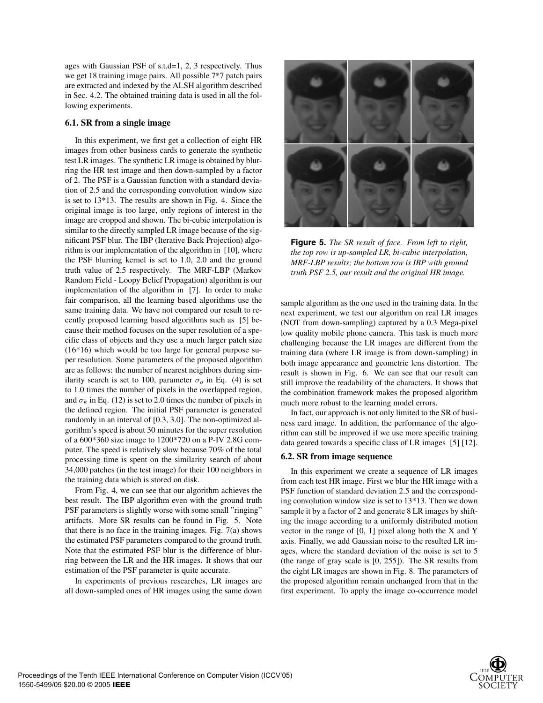ages with Gaussian PSF of s.t.d=1, 2, 3 respectively. Thus we get 18 training image pairs. All possible 7\*7 patch pairs are extracted and indexed by the ALSH algorithm described in Sec. 4.2. The obtained training data is used in all the following experiments.

# **6.1. SR from a single image**

In this experiment, we first get a collection of eight HR images from other business cards to generate the synthetic test LR images. The synthetic LR image is obtained by blurring the HR test image and then down-sampled by a factor of 2. The PSF is a Gaussian function with a standard deviation of 2.5 and the corresponding convolution window size is set to 13\*13. The results are shown in Fig. 4. Since the original image is too large, only regions of interest in the image are cropped and shown. The bi-cubic interpolation is similar to the directly sampled LR image because of the significant PSF blur. The IBP (Iterative Back Projection) algorithm is our implementation of the algorithm in [10], where the PSF blurring kernel is set to 1.0, 2.0 and the ground truth value of 2.5 respectively. The MRF-LBP (Markov Random Field - Loopy Belief Propagation) algorithm is our implementation of the algorithm in [7]. In order to make fair comparison, all the learning based algorithms use the same training data. We have not compared our result to recently proposed learning based algorithms such as [5] because their method focuses on the super resolution of a specific class of objects and they use a much larger patch size (16\*16) which would be too large for general purpose super resolution. Some parameters of the proposed algorithm are as follows: the number of nearest neighbors during similarity search is set to 100, parameter  $\sigma_o$  in Eq. (4) is set to 1.0 times the number of pixels in the overlapped region, and  $\sigma_k$  in Eq. (12) is set to 2.0 times the number of pixels in the defined region. The initial PSF parameter is generated randomly in an interval of [0.3, 3.0]. The non-optimized algorithm's speed is about 30 minutes for the super resolution of a 600\*360 size image to 1200\*720 on a P-IV 2.8G computer. The speed is relatively slow because 70% of the total processing time is spent on the similarity search of about 34,000 patches (in the test image) for their 100 neighbors in the training data which is stored on disk.

From Fig. 4, we can see that our algorithm achieves the best result. The IBP algorithm even with the ground truth PSF parameters is slightly worse with some small "ringing" artifacts. More SR results can be found in Fig. 5. Note that there is no face in the training images. Fig. 7(a) shows the estimated PSF parameters compared to the ground truth. Note that the estimated PSF blur is the difference of blurring between the LR and the HR images. It shows that our estimation of the PSF parameter is quite accurate.

In experiments of previous researches, LR images are all down-sampled ones of HR images using the same down



**Figure 5.** *The SR result of face. From left to right, the top row is up-sampled LR, bi-cubic interpolation, MRF-LBP results; the bottom row is IBP with ground truth PSF 2.5, our result and the original HR image.*

sample algorithm as the one used in the training data. In the next experiment, we test our algorithm on real LR images (NOT from down-sampling) captured by a 0.3 Mega-pixel low quality mobile phone camera. This task is much more challenging because the LR images are different from the training data (where LR image is from down-sampling) in both image appearance and geometric lens distortion. The result is shown in Fig. 6. We can see that our result can still improve the readability of the characters. It shows that the combination framework makes the proposed algorithm much more robust to the learning model errors.

In fact, our approach is not only limited to the SR of business card image. In addition, the performance of the algorithm can still be improved if we use more specific training data geared towards a specific class of LR images [5] [12].

# **6.2. SR from image sequence**

In this experiment we create a sequence of LR images from each test HR image. First we blur the HR image with a PSF function of standard deviation 2.5 and the corresponding convolution window size is set to 13\*13. Then we down sample it by a factor of 2 and generate 8 LR images by shifting the image according to a uniformly distributed motion vector in the range of [0, 1] pixel along both the X and Y axis. Finally, we add Gaussian noise to the resulted LR images, where the standard deviation of the noise is set to 5 (the range of gray scale is [0, 255]). The SR results from the eight LR images are shown in Fig. 8. The parameters of the proposed algorithm remain unchanged from that in the first experiment. To apply the image co-occurrence model

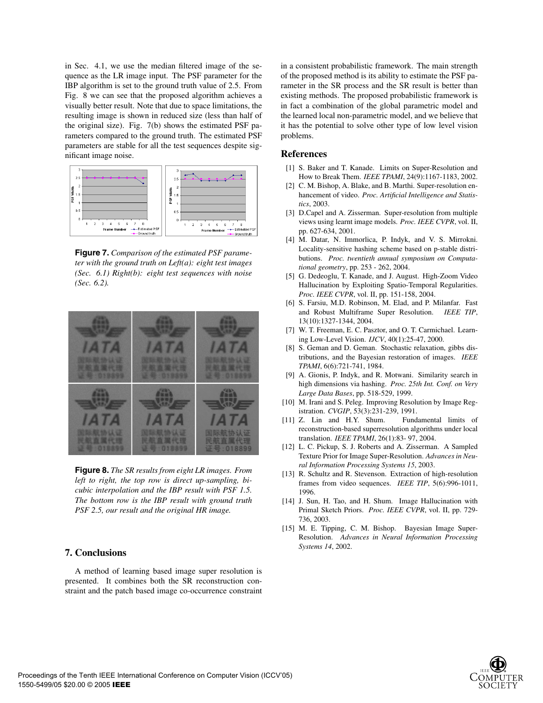in Sec. 4.1, we use the median filtered image of the sequence as the LR image input. The PSF parameter for the IBP algorithm is set to the ground truth value of 2.5. From Fig. 8 we can see that the proposed algorithm achieves a visually better result. Note that due to space limitations, the resulting image is shown in reduced size (less than half of the original size). Fig. 7(b) shows the estimated PSF parameters compared to the ground truth. The estimated PSF parameters are stable for all the test sequences despite significant image noise.



**Figure 7.** *Comparison of the estimated PSF parameter with the ground truth on Left(a): eight test images (Sec. 6.1) Right(b): eight test sequences with noise (Sec. 6.2).*



**Figure 8.** *The SR results from eight LR images. From left to right, the top row is direct up-sampling, bicubic interpolation and the IBP result with PSF 1.5. The bottom row is the IBP result with ground truth PSF 2.5, our result and the original HR image.*

# **7. Conclusions**

A method of learning based image super resolution is presented. It combines both the SR reconstruction constraint and the patch based image co-occurrence constraint in a consistent probabilistic framework. The main strength of the proposed method is its ability to estimate the PSF parameter in the SR process and the SR result is better than existing methods. The proposed probabilistic framework is in fact a combination of the global parametric model and the learned local non-parametric model, and we believe that it has the potential to solve other type of low level vision problems.

### **References**

- [1] S. Baker and T. Kanade. Limits on Super-Resolution and How to Break Them. *IEEE TPAMI*, 24(9):1167-1183, 2002.
- [2] C. M. Bishop, A. Blake, and B. Marthi. Super-resolution enhancement of video. *Proc. Artificial Intelligence and Statistics*, 2003.
- [3] D.Capel and A. Zisserman. Super-resolution from multiple views using learnt image models. *Proc. IEEE CVPR*, vol. II, pp. 627-634, 2001.
- [4] M. Datar, N. Immorlica, P. Indyk, and V. S. Mirrokni. Locality-sensitive hashing scheme based on p-stable distributions. *Proc. twentieth annual symposium on Computational geometry*, pp. 253 - 262, 2004.
- [5] G. Dedeoglu, T. Kanade, and J. August. High-Zoom Video Hallucination by Exploiting Spatio-Temporal Regularities. *Proc. IEEE CVPR*, vol. II, pp. 151-158, 2004.
- [6] S. Farsiu, M.D. Robinson, M. Elad, and P. Milanfar. Fast and Robust Multiframe Super Resolution. *IEEE TIP*, 13(10):1327-1344, 2004.
- [7] W. T. Freeman, E. C. Pasztor, and O. T. Carmichael. Learning Low-Level Vision. *IJCV*, 40(1):25-47, 2000.
- [8] S. Geman and D. Geman. Stochastic relaxation, gibbs distributions, and the Bayesian restoration of images. *IEEE TPAMI*, 6(6):721-741, 1984.
- [9] A. Gionis, P. Indyk, and R. Motwani. Similarity search in high dimensions via hashing. *Proc. 25th Int. Conf. on Very Large Data Bases*, pp. 518-529, 1999.
- [10] M. Irani and S. Peleg. Improving Resolution by Image Registration. *CVGIP*, 53(3):231-239, 1991.
- $[11]$  Z. Lin and H.Y. Shum. reconstruction-based superresolution algorithms under local translation. *IEEE TPAMI*, 26(1):83- 97, 2004.
- [12] L. C. Pickup, S. J. Roberts and A. Zisserman. A Sampled Texture Prior for Image Super-Resolution. *Advances in Neural Information Processing Systems 15*, 2003.
- [13] R. Schultz and R. Stevenson. Extraction of high-resolution frames from video sequences. *IEEE TIP*, 5(6):996-1011, 1996.
- [14] J. Sun, H. Tao, and H. Shum. Image Hallucination with Primal Sketch Priors. *Proc. IEEE CVPR*, vol. II, pp. 729- 736, 2003.
- [15] M. E. Tipping, C. M. Bishop. Bayesian Image Super-Resolution. *Advances in Neural Information Processing Systems 14*, 2002.